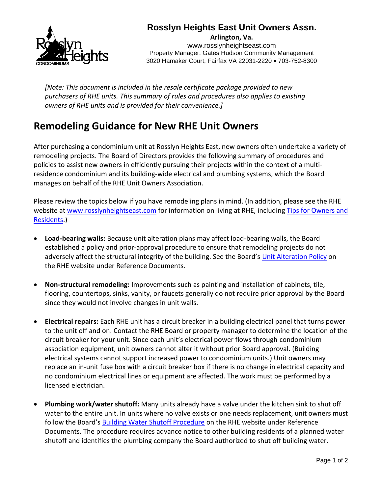

## **Rosslyn Heights East Unit Owners Assn.**

**Arlington, Va.** www.rosslynheightseast.com Property Manager: Gates Hudson Community Management 3020 Hamaker Court, Fairfax VA 22031-2220 • 703-752-8300

*[Note: This document is included in the resale certificate package provided to new purchasers of RHE units. This summary of rules and procedures also applies to existing owners of RHE units and is provided for their convenience.]*

## **Remodeling Guidance for New RHE Unit Owners**

After purchasing a condominium unit at Rosslyn Heights East, new owners often undertake a variety of remodeling projects. The Board of Directors provides the following summary of procedures and policies to assist new owners in efficiently pursuing their projects within the context of a multiresidence condominium and its building-wide electrical and plumbing systems, which the Board manages on behalf of the RHE Unit Owners Association.

Please review the topics below if you have remodeling plans in mind. (In addition, please see the RHE website at [www.rosslynheightseast.com](http://www.rosslynheightseast.com/) for information on living at RHE, includin[g Tips for Owners and](https://99b45c0d-2e32-4e54-ad80-bfd31801f2a8.filesusr.com/ugd/ff6bc5_a0657fc8cce54fc297d59f689f1fed8e.pdf)  [Residents.](https://99b45c0d-2e32-4e54-ad80-bfd31801f2a8.filesusr.com/ugd/ff6bc5_a0657fc8cce54fc297d59f689f1fed8e.pdf))

- **Load-bearing walls:** Because unit alteration plans may affect load-bearing walls, the Board established a policy and prior-approval procedure to ensure that remodeling projects do not adversely affect the structural integrity of the building. See the Board's [Unit Alteration Policy](https://99b45c0d-2e32-4e54-ad80-bfd31801f2a8.filesusr.com/ugd/ff6bc5_7644df9e121b423b9a2622c258c62dae.pdf) on the RHE website under Reference Documents.
- **Non-structural remodeling:** Improvements such as painting and installation of cabinets, tile, flooring, countertops, sinks, vanity, or faucets generally do not require prior approval by the Board since they would not involve changes in unit walls.
- **Electrical repairs:** Each RHE unit has a circuit breaker in a building electrical panel that turns power to the unit off and on. Contact the RHE Board or property manager to determine the location of the circuit breaker for your unit. Since each unit's electrical power flows through condominium association equipment, unit owners cannot alter it without prior Board approval. (Building electrical systems cannot support increased power to condominium units.) Unit owners may replace an in-unit fuse box with a circuit breaker box if there is no change in electrical capacity and no condominium electrical lines or equipment are affected. The work must be performed by a licensed electrician.
- **Plumbing work/water shutoff:** Many units already have a valve under the kitchen sink to shut off water to the entire unit. In units where no valve exists or one needs replacement, unit owners must follow the Board's [Building Water Shutoff Procedure](https://99b45c0d-2e32-4e54-ad80-bfd31801f2a8.filesusr.com/ugd/ff6bc5_f64cfb1a90cd44cf9d8a5b94fd99be7b.pdf) on the RHE website under Reference Documents. The procedure requires advance notice to other building residents of a planned water shutoff and identifies the plumbing company the Board authorized to shut off building water.